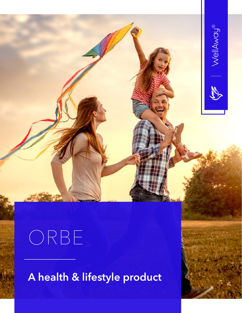

**A health & lifestyle product**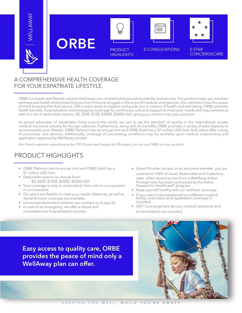

## **ORBE E-CONSULTATIONS**



PRODUCT **HIGHLIGHTS** 





**CONCIERGECARE** 

#### A COMPREHENSIVE HEALTH COVERAGE FOR YOUR EXPATRIATE LIFESTYLE.

ORBE is a health and lifestyle solution that keeps you covered while providing stability and security. This product helps you maintain wellness and health while protecting you from financial struggle in the event of medical emergencies. Our members have the peace of mind knowing that they secure, with a team ready to support and guide you in matters of health and well-being. ORBE provides health benefits, hospitalization and emergency coverage for continuous care and support to meet your needs and requirements as well as a set of deductible options: \$0, \$500, \$100, \$2000, \$5000 USD, giving you control over your premium.

As proud advocates of expatriates living around the world, we aim to set the standard of quality in the international private medical insurance industry for foreign nationals. Furthermore, along with it's benefits, ORBE provides a variety of extra features to accommodate your lifestyle. ORBE Platinum has no annual limit and ORBE Gold has a \$7 million USD limit. Both plans offer a array of preventive care services. Additionally, coverage of pre-existing conditions may be available upon medical underwriting and application approval by WellAway Limited.

*(For French nationals subscribing to the CFE (Caisse des Français de l'Étranger), you can use ORBE as a top up plan!)*

#### PRODUCT HIGHLIGHTS

- ORBE Platinum has no annual limit and ORBE Gold has a \$7 million USD limit.
- Deductible options to choose from: - \$0, \$500, \$1000, \$2000, \$5000 USD
- Your coverage is easy to understand; there are no co-payments or co-insurance.
- Our plans are flexible to meet your needs. Maternity, as well as dental & vision coverage are available.
- Unmarried dependent children are covered up to age 26.
- In case of an emergency, we offer a robust and comprehensive hospitalization process.
- Select Provider Access: as an exclusive member, you are covered at 100% of Usual, Reasonable and Customary rates when receiving care from a WellAway Select Provider who has been contracted by the Aetna Passport to Healthcare® program.
- Keep yourself healthy with our wellness coverage.
- If you need to be transferred to a different medical facility, evacuation and repatriation coverage is included.
- 24/7 ConciergeCare service, medical assistance and e-consultations are included.

**Easy access to quality care, ORBE provides the peace of mind only a WellAway plan can offer.**

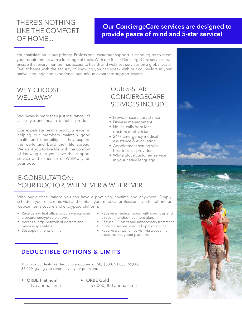### THERE'S NOTHING LIKE THE COMFORT OF HOME...

#### **Our ConciergeCare services are designed to provide peace of mind and 5-star service!**

Your satisfaction is our priority. Professional customer support is standing by to meet your requirements with a full range of tools. With our 5-star ConciergeCare services, we ensure that every member has access to health and wellness services on a global scale. Feel at home with the security of knowing you can speak with our counselors in your native language and experience our unique expatriate support system.

#### WHY CHOOSE WELLAWAY

WellAway is more than just insurance; it's a lifestyle and health benefits product.

Our expatriate health products excel in helping our members maintain good health and tranquility as they explore the world and build their life abroad. We want you to live life with the comfort of knowing that you have the support, service and expertise of WellAway on your side.

#### OUR 5-STAR **CONCIERGECARE** SERVICES INCLUDE:

- Provider search assistance
- Disease management
- House-calls from local doctors or physicians
- 24/7 Emergency medical assistance & evacuation
- Appointment setting with best-in-class providers
- White glove customer service in your native language

#### E-CONSULTATION: YOUR DOCTOR, WHENEVER & WHEREVER...

With our e-consultations you can have a physician, anytime and anywhere. Simply schedule your electronic visit and contact your medical professional via telephone or webcam on a secure and encrypted platform.

- Receive a virtual office visit via webcam on a secure, encrypted platform.
- Access a large network of doctors and medical specialists.
- Set appointments online.
- Receive a medical report with diagnosis and a recommended treatment plan.
- Reduce E.R. visits and unnecessary treatment.
- Obtain a second medical opinion online.
- Receive a virtual office visit via webcam on a secure, encrypted platform.

#### **DEDUCTIBLE OPTIONS & LIMITS**

This product features deductible options of \$0, \$500, \$1,000, \$2,000, \$5,000, giving you control over your premium.

- **ORBE Platinum** No annual limit
- **ORBE Gold** \$7,000,000 annual limit